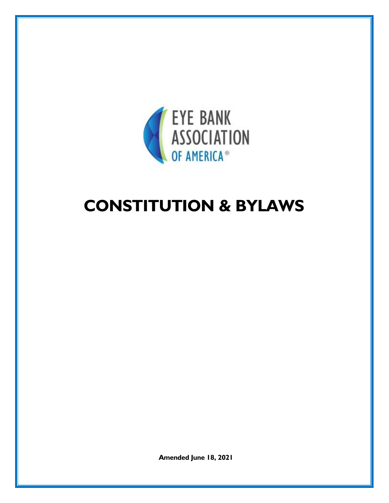

# **CONSTITUTION & BYLAWS**

**Amended June 18, 2021**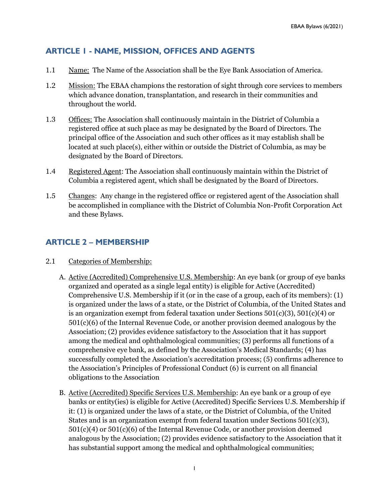# **ARTICLE 1 - NAME, MISSION, OFFICES AND AGENTS**

- 1.1 Name: The Name of the Association shall be the Eye Bank Association of America.
- 1.2 Mission: The EBAA champions the restoration of sight through core services to members which advance donation, transplantation, and research in their communities and throughout the world.
- 1.3 Offices: The Association shall continuously maintain in the District of Columbia a registered office at such place as may be designated by the Board of Directors. The principal office of the Association and such other offices as it may establish shall be located at such place(s), either within or outside the District of Columbia, as may be designated by the Board of Directors.
- 1.4 Registered Agent: The Association shall continuously maintain within the District of Columbia a registered agent, which shall be designated by the Board of Directors.
- 1.5 Changes: Any change in the registered office or registered agent of the Association shall be accomplished in compliance with the District of Columbia Non-Profit Corporation Act and these Bylaws.

# **ARTICLE 2 – MEMBERSHIP**

- 2.1 Categories of Membership:
	- A. Active (Accredited) Comprehensive U.S. Membership: An eye bank (or group of eye banks organized and operated as a single legal entity) is eligible for Active (Accredited) Comprehensive U.S. Membership if it (or in the case of a group, each of its members): (1) is organized under the laws of a state, or the District of Columbia, of the United States and is an organization exempt from federal taxation under Sections  $501(c)(3)$ ,  $501(c)(4)$  or 501(c)(6) of the Internal Revenue Code, or another provision deemed analogous by the Association; (2) provides evidence satisfactory to the Association that it has support among the medical and ophthalmological communities; (3) performs all functions of a comprehensive eye bank, as defined by the Association's Medical Standards; (4) has successfully completed the Association's accreditation process; (5) confirms adherence to the Association's Principles of Professional Conduct (6) is current on all financial obligations to the Association
	- B. Active (Accredited) Specific Services U.S. Membership: An eye bank or a group of eye banks or entity(ies) is eligible for Active (Accredited) Specific Services U.S. Membership if it: (1) is organized under the laws of a state, or the District of Columbia, of the United States and is an organization exempt from federal taxation under Sections  $501(c)(3)$ , 501(c)(4) or 501(c)(6) of the Internal Revenue Code, or another provision deemed analogous by the Association; (2) provides evidence satisfactory to the Association that it has substantial support among the medical and ophthalmological communities;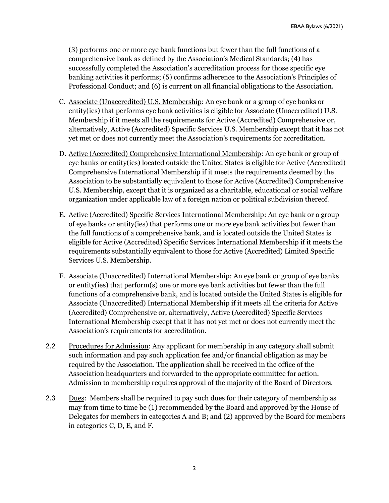(3) performs one or more eye bank functions but fewer than the full functions of a comprehensive bank as defined by the Association's Medical Standards; (4) has successfully completed the Association's accreditation process for those specific eye banking activities it performs; (5) confirms adherence to the Association's Principles of Professional Conduct; and (6) is current on all financial obligations to the Association.

- C. Associate (Unaccredited) U.S. Membership: An eye bank or a group of eye banks or entity(ies) that performs eye bank activities is eligible for Associate (Unaccredited) U.S. Membership if it meets all the requirements for Active (Accredited) Comprehensive or, alternatively, Active (Accredited) Specific Services U.S. Membership except that it has not yet met or does not currently meet the Association's requirements for accreditation.
- D. Active (Accredited) Comprehensive International Membership: An eye bank or group of eye banks or entity(ies) located outside the United States is eligible for Active (Accredited) Comprehensive International Membership if it meets the requirements deemed by the Association to be substantially equivalent to those for Active (Accredited) Comprehensive U.S. Membership, except that it is organized as a charitable, educational or social welfare organization under applicable law of a foreign nation or political subdivision thereof.
- E. Active (Accredited) Specific Services International Membership: An eye bank or a group of eye banks or entity(ies) that performs one or more eye bank activities but fewer than the full functions of a comprehensive bank, and is located outside the United States is eligible for Active (Accredited) Specific Services International Membership if it meets the requirements substantially equivalent to those for Active (Accredited) Limited Specific Services U.S. Membership.
- F. Associate (Unaccredited) International Membership: An eye bank or group of eye banks or entity(ies) that perform(s) one or more eye bank activities but fewer than the full functions of a comprehensive bank, and is located outside the United States is eligible for Associate (Unaccredited) International Membership if it meets all the criteria for Active (Accredited) Comprehensive or, alternatively, Active (Accredited) Specific Services International Membership except that it has not yet met or does not currently meet the Association's requirements for accreditation.
- 2.2 Procedures for Admission: Any applicant for membership in any category shall submit such information and pay such application fee and/or financial obligation as may be required by the Association. The application shall be received in the office of the Association headquarters and forwarded to the appropriate committee for action. Admission to membership requires approval of the majority of the Board of Directors.
- 2.3 Dues: Members shall be required to pay such dues for their category of membership as may from time to time be (1) recommended by the Board and approved by the House of Delegates for members in categories A and B; and (2) approved by the Board for members in categories C, D, E, and F.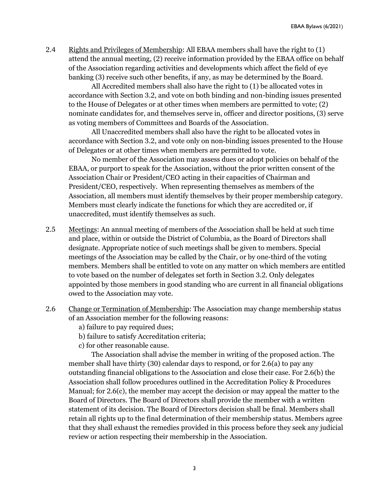2.4 Rights and Privileges of Membership: All EBAA members shall have the right to (1) attend the annual meeting, (2) receive information provided by the EBAA office on behalf of the Association regarding activities and developments which affect the field of eye banking (3) receive such other benefits, if any, as may be determined by the Board.

 All Accredited members shall also have the right to (1) be allocated votes in accordance with Section 3.2, and vote on both binding and non-binding issues presented to the House of Delegates or at other times when members are permitted to vote; (2) nominate candidates for, and themselves serve in, officer and director positions, (3) serve as voting members of Committees and Boards of the Association.

 All Unaccredited members shall also have the right to be allocated votes in accordance with Section 3.2, and vote only on non-binding issues presented to the House of Delegates or at other times when members are permitted to vote.

 No member of the Association may assess dues or adopt policies on behalf of the EBAA, or purport to speak for the Association, without the prior written consent of the Association Chair or President/CEO acting in their capacities of Chairman and President/CEO, respectively. When representing themselves as members of the Association, all members must identify themselves by their proper membership category. Members must clearly indicate the functions for which they are accredited or, if unaccredited, must identify themselves as such.

- 2.5 Meetings: An annual meeting of members of the Association shall be held at such time and place, within or outside the District of Columbia, as the Board of Directors shall designate. Appropriate notice of such meetings shall be given to members. Special meetings of the Association may be called by the Chair, or by one-third of the voting members. Members shall be entitled to vote on any matter on which members are entitled to vote based on the number of delegates set forth in Section 3.2. Only delegates appointed by those members in good standing who are current in all financial obligations owed to the Association may vote.
- 2.6 Change or Termination of Membership: The Association may change membership status of an Association member for the following reasons:
	- a) failure to pay required dues;
	- b) failure to satisfy Accreditation criteria;
	- c) for other reasonable cause.

 The Association shall advise the member in writing of the proposed action. The member shall have thirty (30) calendar days to respond, or for 2.6(a) to pay any outstanding financial obligations to the Association and close their case. For 2.6(b) the Association shall follow procedures outlined in the Accreditation Policy & Procedures Manual; for 2.6(c), the member may accept the decision or may appeal the matter to the Board of Directors. The Board of Directors shall provide the member with a written statement of its decision. The Board of Directors decision shall be final. Members shall retain all rights up to the final determination of their membership status. Members agree that they shall exhaust the remedies provided in this process before they seek any judicial review or action respecting their membership in the Association.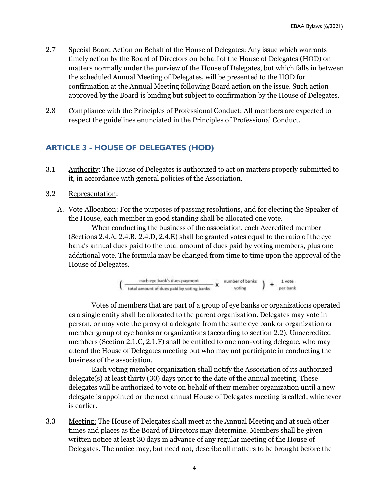- 2.7 Special Board Action on Behalf of the House of Delegates: Any issue which warrants timely action by the Board of Directors on behalf of the House of Delegates (HOD) on matters normally under the purview of the House of Delegates, but which falls in between the scheduled Annual Meeting of Delegates, will be presented to the HOD for confirmation at the Annual Meeting following Board action on the issue. Such action approved by the Board is binding but subject to confirmation by the House of Delegates.
- 2.8 Compliance with the Principles of Professional Conduct: All members are expected to respect the guidelines enunciated in the Principles of Professional Conduct.

#### **ARTICLE 3 - HOUSE OF DELEGATES (HOD)**

- 3.1 Authority: The House of Delegates is authorized to act on matters properly submitted to it, in accordance with general policies of the Association.
- 3.2 Representation:
	- A. Vote Allocation: For the purposes of passing resolutions, and for electing the Speaker of the House, each member in good standing shall be allocated one vote.

 When conducting the business of the association, each Accredited member (Sections 2.4.A, 2.4.B. 2.4.D, 2.4.E) shall be granted votes equal to the ratio of the eye bank's annual dues paid to the total amount of dues paid by voting members, plus one additional vote. The formula may be changed from time to time upon the approval of the House of Delegates.

$$
\left(\begin{array}{cc}\text{each eye bank's dues payment}\\\text{total amount of dues paid by voting banks}\end{array}\right) + \begin{array}{cc} \text{number of banks}\\\text{voting}\end{array}\right) + \begin{array}{cc} 1\,\text{vote}\\\text{per bank}\end{array}
$$

 Votes of members that are part of a group of eye banks or organizations operated as a single entity shall be allocated to the parent organization. Delegates may vote in person, or may vote the proxy of a delegate from the same eye bank or organization or member group of eye banks or organizations (according to section 2.2). Unaccredited members (Section 2.1.C, 2.1.F) shall be entitled to one non-voting delegate, who may attend the House of Delegates meeting but who may not participate in conducting the business of the association.

 Each voting member organization shall notify the Association of its authorized delegate(s) at least thirty (30) days prior to the date of the annual meeting. These delegates will be authorized to vote on behalf of their member organization until a new delegate is appointed or the next annual House of Delegates meeting is called, whichever is earlier.

3.3 Meeting: The House of Delegates shall meet at the Annual Meeting and at such other times and places as the Board of Directors may determine. Members shall be given written notice at least 30 days in advance of any regular meeting of the House of Delegates. The notice may, but need not, describe all matters to be brought before the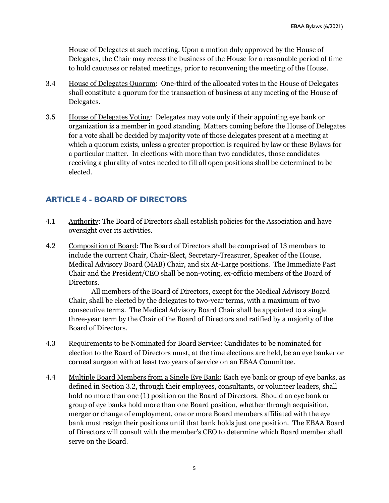House of Delegates at such meeting. Upon a motion duly approved by the House of Delegates, the Chair may recess the business of the House for a reasonable period of time to hold caucuses or related meetings, prior to reconvening the meeting of the House.

- 3.4 House of Delegates Quorum: One-third of the allocated votes in the House of Delegates shall constitute a quorum for the transaction of business at any meeting of the House of Delegates.
- 3.5 House of Delegates Voting: Delegates may vote only if their appointing eye bank or organization is a member in good standing. Matters coming before the House of Delegates for a vote shall be decided by majority vote of those delegates present at a meeting at which a quorum exists, unless a greater proportion is required by law or these Bylaws for a particular matter. In elections with more than two candidates, those candidates receiving a plurality of votes needed to fill all open positions shall be determined to be elected.

### **ARTICLE 4 - BOARD OF DIRECTORS**

- 4.1 Authority: The Board of Directors shall establish policies for the Association and have oversight over its activities.
- 4.2 Composition of Board: The Board of Directors shall be comprised of 13 members to include the current Chair, Chair-Elect, Secretary-Treasurer, Speaker of the House, Medical Advisory Board (MAB) Chair, and six At-Large positions. The Immediate Past Chair and the President/CEO shall be non-voting, ex-officio members of the Board of Directors.

 All members of the Board of Directors, except for the Medical Advisory Board Chair, shall be elected by the delegates to two-year terms, with a maximum of two consecutive terms. The Medical Advisory Board Chair shall be appointed to a single three-year term by the Chair of the Board of Directors and ratified by a majority of the Board of Directors.

- 4.3 Requirements to be Nominated for Board Service: Candidates to be nominated for election to the Board of Directors must, at the time elections are held, be an eye banker or corneal surgeon with at least two years of service on an EBAA Committee.
- 4.4 Multiple Board Members from a Single Eye Bank: Each eye bank or group of eye banks, as defined in Section 3.2, through their employees, consultants, or volunteer leaders, shall hold no more than one (1) position on the Board of Directors. Should an eye bank or group of eye banks hold more than one Board position, whether through acquisition, merger or change of employment, one or more Board members affiliated with the eye bank must resign their positions until that bank holds just one position. The EBAA Board of Directors will consult with the member's CEO to determine which Board member shall serve on the Board.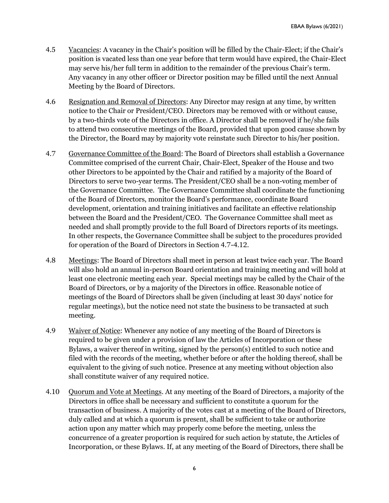- 4.5 Vacancies: A vacancy in the Chair's position will be filled by the Chair-Elect; if the Chair's position is vacated less than one year before that term would have expired, the Chair-Elect may serve his/her full term in addition to the remainder of the previous Chair's term. Any vacancy in any other officer or Director position may be filled until the next Annual Meeting by the Board of Directors.
- 4.6 Resignation and Removal of Directors: Any Director may resign at any time, by written notice to the Chair or President/CEO. Directors may be removed with or without cause, by a two-thirds vote of the Directors in office. A Director shall be removed if he/she fails to attend two consecutive meetings of the Board, provided that upon good cause shown by the Director, the Board may by majority vote reinstate such Director to his/her position.
- 4.7 Governance Committee of the Board: The Board of Directors shall establish a Governance Committee comprised of the current Chair, Chair-Elect, Speaker of the House and two other Directors to be appointed by the Chair and ratified by a majority of the Board of Directors to serve two-year terms. The President/CEO shall be a non-voting member of the Governance Committee. The Governance Committee shall coordinate the functioning of the Board of Directors, monitor the Board's performance, coordinate Board development, orientation and training initiatives and facilitate an effective relationship between the Board and the President/CEO. The Governance Committee shall meet as needed and shall promptly provide to the full Board of Directors reports of its meetings. In other respects, the Governance Committee shall be subject to the procedures provided for operation of the Board of Directors in Section 4.7-4.12.
- 4.8 Meetings: The Board of Directors shall meet in person at least twice each year. The Board will also hold an annual in-person Board orientation and training meeting and will hold at least one electronic meeting each year. Special meetings may be called by the Chair of the Board of Directors, or by a majority of the Directors in office. Reasonable notice of meetings of the Board of Directors shall be given (including at least 30 days' notice for regular meetings), but the notice need not state the business to be transacted at such meeting.
- 4.9 Waiver of Notice: Whenever any notice of any meeting of the Board of Directors is required to be given under a provision of law the Articles of Incorporation or these Bylaws, a waiver thereof in writing, signed by the person(s) entitled to such notice and filed with the records of the meeting, whether before or after the holding thereof, shall be equivalent to the giving of such notice. Presence at any meeting without objection also shall constitute waiver of any required notice.
- 4.10 Quorum and Vote at Meetings. At any meeting of the Board of Directors, a majority of the Directors in office shall be necessary and sufficient to constitute a quorum for the transaction of business. A majority of the votes cast at a meeting of the Board of Directors, duly called and at which a quorum is present, shall be sufficient to take or authorize action upon any matter which may properly come before the meeting, unless the concurrence of a greater proportion is required for such action by statute, the Articles of Incorporation, or these Bylaws. If, at any meeting of the Board of Directors, there shall be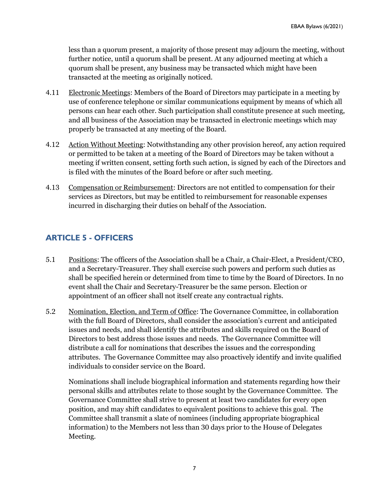less than a quorum present, a majority of those present may adjourn the meeting, without further notice, until a quorum shall be present. At any adjourned meeting at which a quorum shall be present, any business may be transacted which might have been transacted at the meeting as originally noticed.

- 4.11 Electronic Meetings: Members of the Board of Directors may participate in a meeting by use of conference telephone or similar communications equipment by means of which all persons can hear each other. Such participation shall constitute presence at such meeting, and all business of the Association may be transacted in electronic meetings which may properly be transacted at any meeting of the Board.
- 4.12 Action Without Meeting: Notwithstanding any other provision hereof, any action required or permitted to be taken at a meeting of the Board of Directors may be taken without a meeting if written consent, setting forth such action, is signed by each of the Directors and is filed with the minutes of the Board before or after such meeting.
- 4.13 Compensation or Reimbursement: Directors are not entitled to compensation for their services as Directors, but may be entitled to reimbursement for reasonable expenses incurred in discharging their duties on behalf of the Association.

# **ARTICLE 5 - OFFICERS**

- 5.1 Positions: The officers of the Association shall be a Chair, a Chair-Elect, a President/CEO, and a Secretary-Treasurer. They shall exercise such powers and perform such duties as shall be specified herein or determined from time to time by the Board of Directors. In no event shall the Chair and Secretary-Treasurer be the same person. Election or appointment of an officer shall not itself create any contractual rights.
- 5.2 Nomination, Election, and Term of Office: The Governance Committee, in collaboration with the full Board of Directors, shall consider the association's current and anticipated issues and needs, and shall identify the attributes and skills required on the Board of Directors to best address those issues and needs. The Governance Committee will distribute a call for nominations that describes the issues and the corresponding attributes. The Governance Committee may also proactively identify and invite qualified individuals to consider service on the Board.

Nominations shall include biographical information and statements regarding how their personal skills and attributes relate to those sought by the Governance Committee. The Governance Committee shall strive to present at least two candidates for every open position, and may shift candidates to equivalent positions to achieve this goal. The Committee shall transmit a slate of nominees (including appropriate biographical information) to the Members not less than 30 days prior to the House of Delegates Meeting.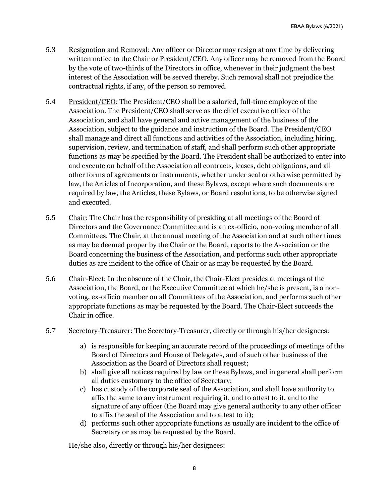- 5.3 Resignation and Removal: Any officer or Director may resign at any time by delivering written notice to the Chair or President/CEO. Any officer may be removed from the Board by the vote of two-thirds of the Directors in office, whenever in their judgment the best interest of the Association will be served thereby. Such removal shall not prejudice the contractual rights, if any, of the person so removed.
- 5.4 President/CEO: The President/CEO shall be a salaried, full-time employee of the Association. The President/CEO shall serve as the chief executive officer of the Association, and shall have general and active management of the business of the Association, subject to the guidance and instruction of the Board. The President/CEO shall manage and direct all functions and activities of the Association, including hiring, supervision, review, and termination of staff, and shall perform such other appropriate functions as may be specified by the Board. The President shall be authorized to enter into and execute on behalf of the Association all contracts, leases, debt obligations, and all other forms of agreements or instruments, whether under seal or otherwise permitted by law, the Articles of Incorporation, and these Bylaws, except where such documents are required by law, the Articles, these Bylaws, or Board resolutions, to be otherwise signed and executed.
- 5.5 Chair: The Chair has the responsibility of presiding at all meetings of the Board of Directors and the Governance Committee and is an ex-officio, non-voting member of all Committees. The Chair, at the annual meeting of the Association and at such other times as may be deemed proper by the Chair or the Board, reports to the Association or the Board concerning the business of the Association, and performs such other appropriate duties as are incident to the office of Chair or as may be requested by the Board.
- 5.6 Chair-Elect: In the absence of the Chair, the Chair-Elect presides at meetings of the Association, the Board, or the Executive Committee at which he/she is present, is a nonvoting, ex-officio member on all Committees of the Association, and performs such other appropriate functions as may be requested by the Board. The Chair-Elect succeeds the Chair in office.
- 5.7 Secretary-Treasurer: The Secretary-Treasurer, directly or through his/her designees:
	- a) is responsible for keeping an accurate record of the proceedings of meetings of the Board of Directors and House of Delegates, and of such other business of the Association as the Board of Directors shall request;
	- b) shall give all notices required by law or these Bylaws, and in general shall perform all duties customary to the office of Secretary;
	- c) has custody of the corporate seal of the Association, and shall have authority to affix the same to any instrument requiring it, and to attest to it, and to the signature of any officer (the Board may give general authority to any other officer to affix the seal of the Association and to attest to it);
	- d) performs such other appropriate functions as usually are incident to the office of Secretary or as may be requested by the Board.

He/she also, directly or through his/her designees: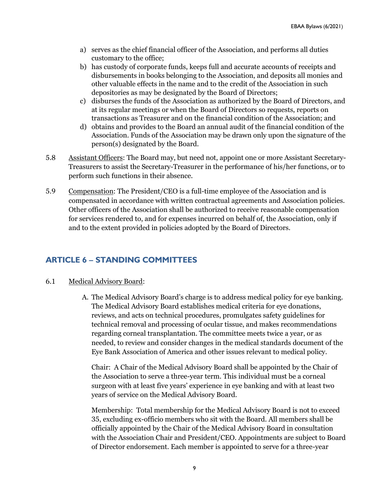- a) serves as the chief financial officer of the Association, and performs all duties customary to the office;
- b) has custody of corporate funds, keeps full and accurate accounts of receipts and disbursements in books belonging to the Association, and deposits all monies and other valuable effects in the name and to the credit of the Association in such depositories as may be designated by the Board of Directors;
- c) disburses the funds of the Association as authorized by the Board of Directors, and at its regular meetings or when the Board of Directors so requests, reports on transactions as Treasurer and on the financial condition of the Association; and
- d) obtains and provides to the Board an annual audit of the financial condition of the Association. Funds of the Association may be drawn only upon the signature of the person(s) designated by the Board.
- 5.8 Assistant Officers: The Board may, but need not, appoint one or more Assistant Secretary-Treasurers to assist the Secretary-Treasurer in the performance of his/her functions, or to perform such functions in their absence.
- 5.9 Compensation: The President/CEO is a full-time employee of the Association and is compensated in accordance with written contractual agreements and Association policies. Other officers of the Association shall be authorized to receive reasonable compensation for services rendered to, and for expenses incurred on behalf of, the Association, only if and to the extent provided in policies adopted by the Board of Directors.

#### **ARTICLE 6 – STANDING COMMITTEES**

#### 6.1 Medical Advisory Board:

 A. The Medical Advisory Board's charge is to address medical policy for eye banking. The Medical Advisory Board establishes medical criteria for eye donations, reviews, and acts on technical procedures, promulgates safety guidelines for technical removal and processing of ocular tissue, and makes recommendations regarding corneal transplantation. The committee meets twice a year, or as needed, to review and consider changes in the medical standards document of the Eye Bank Association of America and other issues relevant to medical policy.

Chair: A Chair of the Medical Advisory Board shall be appointed by the Chair of the Association to serve a three-year term. This individual must be a corneal surgeon with at least five years' experience in eye banking and with at least two years of service on the Medical Advisory Board.

Membership: Total membership for the Medical Advisory Board is not to exceed 35, excluding ex-officio members who sit with the Board. All members shall be officially appointed by the Chair of the Medical Advisory Board in consultation with the Association Chair and President/CEO. Appointments are subject to Board of Director endorsement. Each member is appointed to serve for a three-year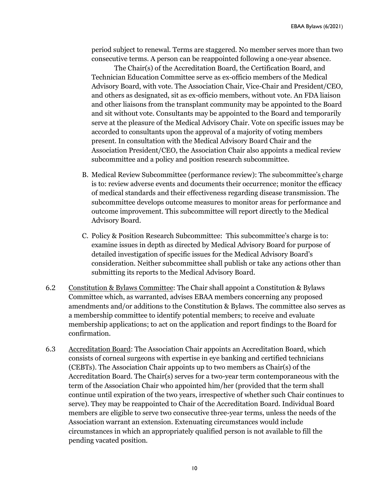period subject to renewal. Terms are staggered. No member serves more than two consecutive terms. A person can be reappointed following a one-year absence.

 The Chair(s) of the Accreditation Board, the Certification Board, and Technician Education Committee serve as ex-officio members of the Medical Advisory Board, with vote. The Association Chair, Vice-Chair and President/CEO, and others as designated, sit as ex-officio members, without vote. An FDA liaison and other liaisons from the transplant community may be appointed to the Board and sit without vote. Consultants may be appointed to the Board and temporarily serve at the pleasure of the Medical Advisory Chair. Vote on specific issues may be accorded to consultants upon the approval of a majority of voting members present. In consultation with the Medical Advisory Board Chair and the Association President/CEO, the Association Chair also appoints a medical review subcommittee and a policy and position research subcommittee.

- B. Medical Review Subcommittee (performance review): The subcommittee's charge is to: review adverse events and documents their occurrence; monitor the efficacy of medical standards and their effectiveness regarding disease transmission. The subcommittee develops outcome measures to monitor areas for performance and outcome improvement. This subcommittee will report directly to the Medical Advisory Board.
- C. Policy & Position Research Subcommittee: This subcommittee's charge is to: examine issues in depth as directed by Medical Advisory Board for purpose of detailed investigation of specific issues for the Medical Advisory Board's consideration. Neither subcommittee shall publish or take any actions other than submitting its reports to the Medical Advisory Board.
- 6.2 Constitution & Bylaws Committee: The Chair shall appoint a Constitution & Bylaws Committee which, as warranted, advises EBAA members concerning any proposed amendments and/or additions to the Constitution & Bylaws. The committee also serves as a membership committee to identify potential members; to receive and evaluate membership applications; to act on the application and report findings to the Board for confirmation.
- 6.3 Accreditation Board: The Association Chair appoints an Accreditation Board, which consists of corneal surgeons with expertise in eye banking and certified technicians (CEBTs). The Association Chair appoints up to two members as Chair(s) of the Accreditation Board. The Chair(s) serves for a two-year term contemporaneous with the term of the Association Chair who appointed him/her (provided that the term shall continue until expiration of the two years, irrespective of whether such Chair continues to serve). They may be reappointed to Chair of the Accreditation Board. Individual Board members are eligible to serve two consecutive three-year terms, unless the needs of the Association warrant an extension. Extenuating circumstances would include circumstances in which an appropriately qualified person is not available to fill the pending vacated position.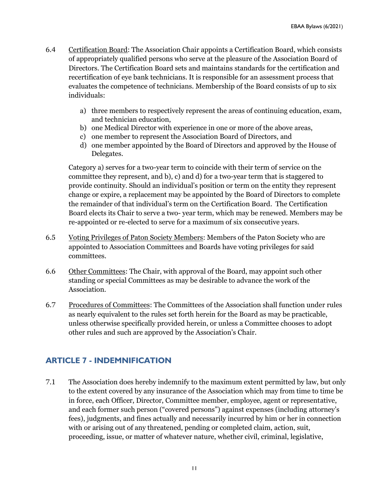- 6.4 Certification Board: The Association Chair appoints a Certification Board, which consists of appropriately qualified persons who serve at the pleasure of the Association Board of Directors. The Certification Board sets and maintains standards for the certification and recertification of eye bank technicians. It is responsible for an assessment process that evaluates the competence of technicians. Membership of the Board consists of up to six individuals:
	- a) three members to respectively represent the areas of continuing education, exam, and technician education,
	- b) one Medical Director with experience in one or more of the above areas,
	- c) one member to represent the Association Board of Directors, and
	- d) one member appointed by the Board of Directors and approved by the House of Delegates.

Category a) serves for a two-year term to coincide with their term of service on the committee they represent, and b), c) and d) for a two-year term that is staggered to provide continuity. Should an individual's position or term on the entity they represent change or expire, a replacement may be appointed by the Board of Directors to complete the remainder of that individual's term on the Certification Board. The Certification Board elects its Chair to serve a two- year term, which may be renewed. Members may be re-appointed or re-elected to serve for a maximum of six consecutive years.

- 6.5 Voting Privileges of Paton Society Members: Members of the Paton Society who are appointed to Association Committees and Boards have voting privileges for said committees.
- 6.6 Other Committees: The Chair, with approval of the Board, may appoint such other standing or special Committees as may be desirable to advance the work of the Association.
- 6.7 Procedures of Committees: The Committees of the Association shall function under rules as nearly equivalent to the rules set forth herein for the Board as may be practicable, unless otherwise specifically provided herein, or unless a Committee chooses to adopt other rules and such are approved by the Association's Chair.

# **ARTICLE 7 - INDEMNIFICATION**

7.1 The Association does hereby indemnify to the maximum extent permitted by law, but only to the extent covered by any insurance of the Association which may from time to time be in force, each Officer, Director, Committee member, employee, agent or representative, and each former such person ("covered persons") against expenses (including attorney's fees), judgments, and fines actually and necessarily incurred by him or her in connection with or arising out of any threatened, pending or completed claim, action, suit, proceeding, issue, or matter of whatever nature, whether civil, criminal, legislative,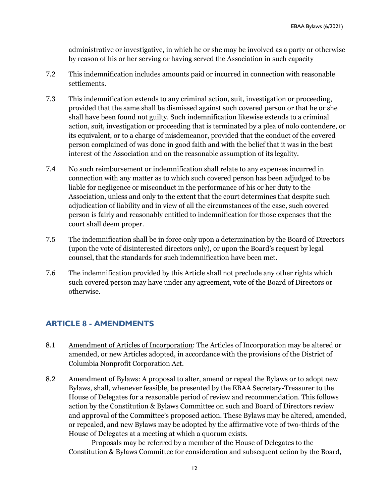administrative or investigative, in which he or she may be involved as a party or otherwise by reason of his or her serving or having served the Association in such capacity

- 7.2 This indemnification includes amounts paid or incurred in connection with reasonable settlements.
- 7.3 This indemnification extends to any criminal action, suit, investigation or proceeding, provided that the same shall be dismissed against such covered person or that he or she shall have been found not guilty. Such indemnification likewise extends to a criminal action, suit, investigation or proceeding that is terminated by a plea of nolo contendere, or its equivalent, or to a charge of misdemeanor, provided that the conduct of the covered person complained of was done in good faith and with the belief that it was in the best interest of the Association and on the reasonable assumption of its legality.
- 7.4 No such reimbursement or indemnification shall relate to any expenses incurred in connection with any matter as to which such covered person has been adjudged to be liable for negligence or misconduct in the performance of his or her duty to the Association, unless and only to the extent that the court determines that despite such adjudication of liability and in view of all the circumstances of the case, such covered person is fairly and reasonably entitled to indemnification for those expenses that the court shall deem proper.
- 7.5 The indemnification shall be in force only upon a determination by the Board of Directors (upon the vote of disinterested directors only), or upon the Board's request by legal counsel, that the standards for such indemnification have been met.
- 7.6 The indemnification provided by this Article shall not preclude any other rights which such covered person may have under any agreement, vote of the Board of Directors or otherwise.

#### **ARTICLE 8 - AMENDMENTS**

- 8.1 Amendment of Articles of Incorporation: The Articles of Incorporation may be altered or amended, or new Articles adopted, in accordance with the provisions of the District of Columbia Nonprofit Corporation Act.
- 8.2 Amendment of Bylaws: A proposal to alter, amend or repeal the Bylaws or to adopt new Bylaws, shall, whenever feasible, be presented by the EBAA Secretary-Treasurer to the House of Delegates for a reasonable period of review and recommendation. This follows action by the Constitution & Bylaws Committee on such and Board of Directors review and approval of the Committee's proposed action. These Bylaws may be altered, amended, or repealed, and new Bylaws may be adopted by the affirmative vote of two-thirds of the House of Delegates at a meeting at which a quorum exists.

 Proposals may be referred by a member of the House of Delegates to the Constitution & Bylaws Committee for consideration and subsequent action by the Board,